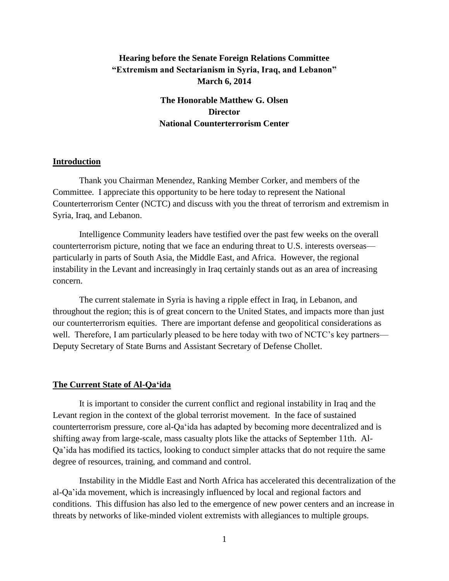# **Hearing before the Senate Foreign Relations Committee "Extremism and Sectarianism in Syria, Iraq, and Lebanon" March 6, 2014**

**The Honorable Matthew G. Olsen Director National Counterterrorism Center**

## **Introduction**

Thank you Chairman Menendez, Ranking Member Corker, and members of the Committee. I appreciate this opportunity to be here today to represent the National Counterterrorism Center (NCTC) and discuss with you the threat of terrorism and extremism in Syria, Iraq, and Lebanon.

Intelligence Community leaders have testified over the past few weeks on the overall counterterrorism picture, noting that we face an enduring threat to U.S. interests overseas particularly in parts of South Asia, the Middle East, and Africa. However, the regional instability in the Levant and increasingly in Iraq certainly stands out as an area of increasing concern.

The current stalemate in Syria is having a ripple effect in Iraq, in Lebanon, and throughout the region; this is of great concern to the United States, and impacts more than just our counterterrorism equities. There are important defense and geopolitical considerations as well. Therefore, I am particularly pleased to be here today with two of NCTC's key partners— Deputy Secretary of State Burns and Assistant Secretary of Defense Chollet.

### **The Current State of Al-Qa'ida**

It is important to consider the current conflict and regional instability in Iraq and the Levant region in the context of the global terrorist movement. In the face of sustained counterterrorism pressure, core al-Qa'ida has adapted by becoming more decentralized and is shifting away from large-scale, mass casualty plots like the attacks of September 11th. Al-Qa'ida has modified its tactics, looking to conduct simpler attacks that do not require the same degree of resources, training, and command and control.

Instability in the Middle East and North Africa has accelerated this decentralization of the al-Qa'ida movement, which is increasingly influenced by local and regional factors and conditions. This diffusion has also led to the emergence of new power centers and an increase in threats by networks of like-minded violent extremists with allegiances to multiple groups.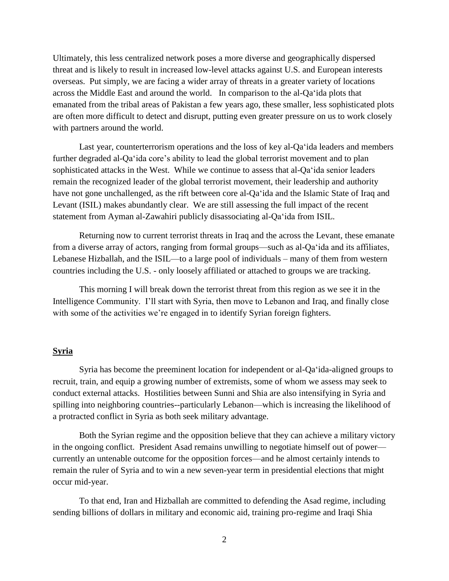Ultimately, this less centralized network poses a more diverse and geographically dispersed threat and is likely to result in increased low-level attacks against U.S. and European interests overseas. Put simply, we are facing a wider array of threats in a greater variety of locations across the Middle East and around the world. In comparison to the al-Qa'ida plots that emanated from the tribal areas of Pakistan a few years ago, these smaller, less sophisticated plots are often more difficult to detect and disrupt, putting even greater pressure on us to work closely with partners around the world.

Last year, counterterrorism operations and the loss of key al-Qa'ida leaders and members further degraded al-Qa'ida core's ability to lead the global terrorist movement and to plan sophisticated attacks in the West. While we continue to assess that al-Qa'ida senior leaders remain the recognized leader of the global terrorist movement, their leadership and authority have not gone unchallenged, as the rift between core al-Qa'ida and the Islamic State of Iraq and Levant (ISIL) makes abundantly clear. We are still assessing the full impact of the recent statement from Ayman al-Zawahiri publicly disassociating al-Qa'ida from ISIL.

Returning now to current terrorist threats in Iraq and the across the Levant, these emanate from a diverse array of actors, ranging from formal groups—such as al-Qa'ida and its affiliates, Lebanese Hizballah, and the ISIL—to a large pool of individuals – many of them from western countries including the U.S. - only loosely affiliated or attached to groups we are tracking.

This morning I will break down the terrorist threat from this region as we see it in the Intelligence Community. I'll start with Syria, then move to Lebanon and Iraq, and finally close with some of the activities we're engaged in to identify Syrian foreign fighters.

# **Syria**

Syria has become the preeminent location for independent or al-Qa'ida-aligned groups to recruit, train, and equip a growing number of extremists, some of whom we assess may seek to conduct external attacks. Hostilities between Sunni and Shia are also intensifying in Syria and spilling into neighboring countries--particularly Lebanon—which is increasing the likelihood of a protracted conflict in Syria as both seek military advantage.

Both the Syrian regime and the opposition believe that they can achieve a military victory in the ongoing conflict. President Asad remains unwilling to negotiate himself out of power currently an untenable outcome for the opposition forces—and he almost certainly intends to remain the ruler of Syria and to win a new seven-year term in presidential elections that might occur mid-year.

To that end, Iran and Hizballah are committed to defending the Asad regime, including sending billions of dollars in military and economic aid, training pro-regime and Iraqi Shia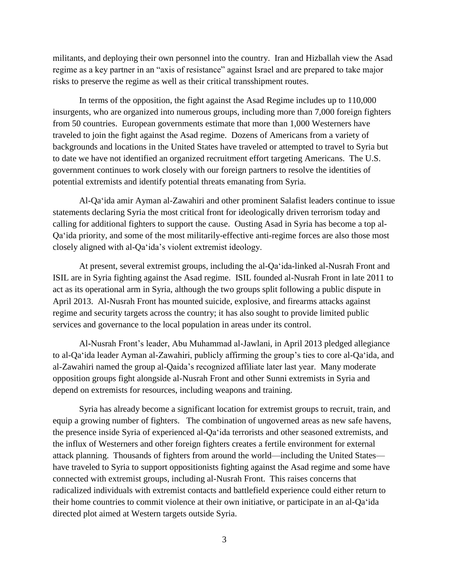militants, and deploying their own personnel into the country. Iran and Hizballah view the Asad regime as a key partner in an "axis of resistance" against Israel and are prepared to take major risks to preserve the regime as well as their critical transshipment routes.

In terms of the opposition, the fight against the Asad Regime includes up to 110,000 insurgents, who are organized into numerous groups, including more than 7,000 foreign fighters from 50 countries. European governments estimate that more than 1,000 Westerners have traveled to join the fight against the Asad regime. Dozens of Americans from a variety of backgrounds and locations in the United States have traveled or attempted to travel to Syria but to date we have not identified an organized recruitment effort targeting Americans. The U.S. government continues to work closely with our foreign partners to resolve the identities of potential extremists and identify potential threats emanating from Syria.

Al-Qa'ida amir Ayman al-Zawahiri and other prominent Salafist leaders continue to issue statements declaring Syria the most critical front for ideologically driven terrorism today and calling for additional fighters to support the cause. Ousting Asad in Syria has become a top al-Qa'ida priority, and some of the most militarily-effective anti-regime forces are also those most closely aligned with al-Qa'ida's violent extremist ideology.

At present, several extremist groups, including the al-Qa'ida-linked al-Nusrah Front and ISIL are in Syria fighting against the Asad regime. ISIL founded al-Nusrah Front in late 2011 to act as its operational arm in Syria, although the two groups split following a public dispute in April 2013. Al-Nusrah Front has mounted suicide, explosive, and firearms attacks against regime and security targets across the country; it has also sought to provide limited public services and governance to the local population in areas under its control.

Al-Nusrah Front's leader, Abu Muhammad al-Jawlani, in April 2013 pledged allegiance to al-Qa'ida leader Ayman al-Zawahiri, publicly affirming the group's ties to core al-Qa'ida, and al-Zawahiri named the group al-Qaida's recognized affiliate later last year. Many moderate opposition groups fight alongside al-Nusrah Front and other Sunni extremists in Syria and depend on extremists for resources, including weapons and training.

Syria has already become a significant location for extremist groups to recruit, train, and equip a growing number of fighters. The combination of ungoverned areas as new safe havens, the presence inside Syria of experienced al-Qa'ida terrorists and other seasoned extremists, and the influx of Westerners and other foreign fighters creates a fertile environment for external attack planning. Thousands of fighters from around the world—including the United States have traveled to Syria to support oppositionists fighting against the Asad regime and some have connected with extremist groups, including al-Nusrah Front. This raises concerns that radicalized individuals with extremist contacts and battlefield experience could either return to their home countries to commit violence at their own initiative, or participate in an al-Qa'ida directed plot aimed at Western targets outside Syria.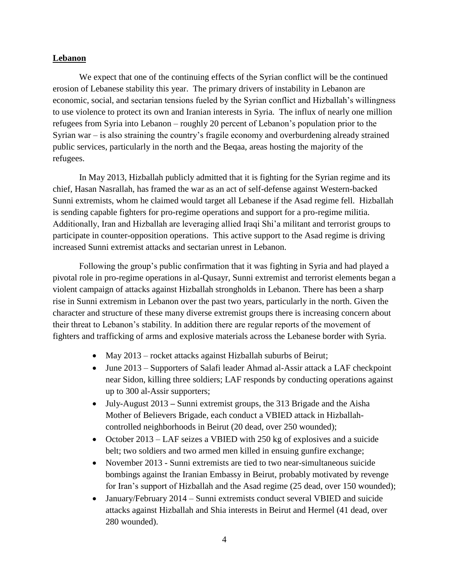# **Lebanon**

We expect that one of the continuing effects of the Syrian conflict will be the continued erosion of Lebanese stability this year. The primary drivers of instability in Lebanon are economic, social, and sectarian tensions fueled by the Syrian conflict and Hizballah's willingness to use violence to protect its own and Iranian interests in Syria. The influx of nearly one million refugees from Syria into Lebanon – roughly 20 percent of Lebanon's population prior to the Syrian war – is also straining the country's fragile economy and overburdening already strained public services, particularly in the north and the Beqaa, areas hosting the majority of the refugees.

In May 2013, Hizballah publicly admitted that it is fighting for the Syrian regime and its chief, Hasan Nasrallah, has framed the war as an act of self-defense against Western-backed Sunni extremists, whom he claimed would target all Lebanese if the Asad regime fell. Hizballah is sending capable fighters for pro-regime operations and support for a pro-regime militia. Additionally, Iran and Hizballah are leveraging allied Iraqi Shi'a militant and terrorist groups to participate in counter-opposition operations. This active support to the Asad regime is driving increased Sunni extremist attacks and sectarian unrest in Lebanon.

Following the group's public confirmation that it was fighting in Syria and had played a pivotal role in pro-regime operations in al-Qusayr, Sunni extremist and terrorist elements began a violent campaign of attacks against Hizballah strongholds in Lebanon. There has been a sharp rise in Sunni extremism in Lebanon over the past two years, particularly in the north. Given the character and structure of these many diverse extremist groups there is increasing concern about their threat to Lebanon's stability. In addition there are regular reports of the movement of fighters and trafficking of arms and explosive materials across the Lebanese border with Syria.

- May 2013 rocket attacks against Hizballah suburbs of Beirut;
- June 2013 Supporters of Salafi leader Ahmad al-Assir attack a LAF checkpoint near Sidon, killing three soldiers; LAF responds by conducting operations against up to 300 al-Assir supporters;
- July-August 2013 **–** Sunni extremist groups, the 313 Brigade and the Aisha Mother of Believers Brigade, each conduct a VBIED attack in Hizballahcontrolled neighborhoods in Beirut (20 dead, over 250 wounded);
- October 2013 LAF seizes a VBIED with 250 kg of explosives and a suicide belt; two soldiers and two armed men killed in ensuing gunfire exchange;
- November 2013 Sunni extremists are tied to two near-simultaneous suicide bombings against the Iranian Embassy in Beirut, probably motivated by revenge for Iran's support of Hizballah and the Asad regime (25 dead, over 150 wounded);
- January/February 2014 Sunni extremists conduct several VBIED and suicide attacks against Hizballah and Shia interests in Beirut and Hermel (41 dead, over 280 wounded).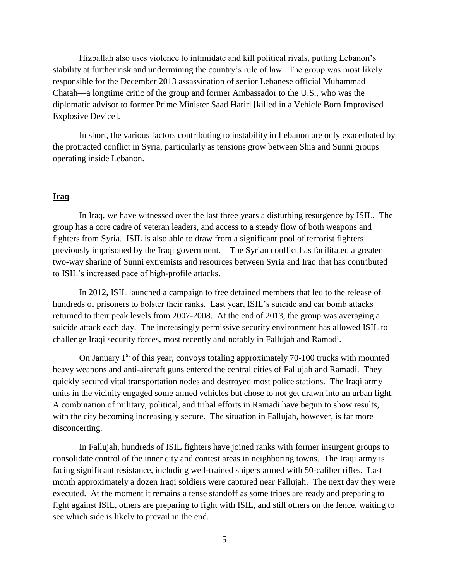Hizballah also uses violence to intimidate and kill political rivals, putting Lebanon's stability at further risk and undermining the country's rule of law. The group was most likely responsible for the December 2013 assassination of senior Lebanese official Muhammad Chatah—a longtime critic of the group and former Ambassador to the U.S., who was the diplomatic advisor to former Prime Minister Saad Hariri [killed in a Vehicle Born Improvised Explosive Device].

In short, the various factors contributing to instability in Lebanon are only exacerbated by the protracted conflict in Syria, particularly as tensions grow between Shia and Sunni groups operating inside Lebanon.

#### **Iraq**

In Iraq, we have witnessed over the last three years a disturbing resurgence by ISIL. The group has a core cadre of veteran leaders, and access to a steady flow of both weapons and fighters from Syria. ISIL is also able to draw from a significant pool of terrorist fighters previously imprisoned by the Iraqi government. The Syrian conflict has facilitated a greater two-way sharing of Sunni extremists and resources between Syria and Iraq that has contributed to ISIL's increased pace of high-profile attacks.

In 2012, ISIL launched a campaign to free detained members that led to the release of hundreds of prisoners to bolster their ranks. Last year, ISIL's suicide and car bomb attacks returned to their peak levels from 2007-2008. At the end of 2013, the group was averaging a suicide attack each day. The increasingly permissive security environment has allowed ISIL to challenge Iraqi security forces, most recently and notably in Fallujah and Ramadi.

On January  $1<sup>st</sup>$  of this year, convoys totaling approximately 70-100 trucks with mounted heavy weapons and anti-aircraft guns entered the central cities of Fallujah and Ramadi. They quickly secured vital transportation nodes and destroyed most police stations. The Iraqi army units in the vicinity engaged some armed vehicles but chose to not get drawn into an urban fight. A combination of military, political, and tribal efforts in Ramadi have begun to show results, with the city becoming increasingly secure. The situation in Fallujah, however, is far more disconcerting.

In Fallujah, hundreds of ISIL fighters have joined ranks with former insurgent groups to consolidate control of the inner city and contest areas in neighboring towns. The Iraqi army is facing significant resistance, including well-trained snipers armed with 50-caliber rifles. Last month approximately a dozen Iraqi soldiers were captured near Fallujah. The next day they were executed. At the moment it remains a tense standoff as some tribes are ready and preparing to fight against ISIL, others are preparing to fight with ISIL, and still others on the fence, waiting to see which side is likely to prevail in the end.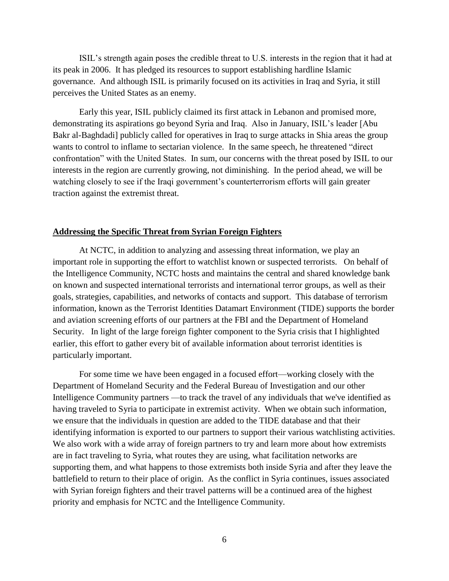ISIL's strength again poses the credible threat to U.S. interests in the region that it had at its peak in 2006. It has pledged its resources to support establishing hardline Islamic governance. And although ISIL is primarily focused on its activities in Iraq and Syria, it still perceives the United States as an enemy.

Early this year, ISIL publicly claimed its first attack in Lebanon and promised more, demonstrating its aspirations go beyond Syria and Iraq. Also in January, ISIL's leader [Abu Bakr al-Baghdadi] publicly called for operatives in Iraq to surge attacks in Shia areas the group wants to control to inflame to sectarian violence. In the same speech, he threatened "direct confrontation" with the United States. In sum, our concerns with the threat posed by ISIL to our interests in the region are currently growing, not diminishing. In the period ahead, we will be watching closely to see if the Iraqi government's counterterrorism efforts will gain greater traction against the extremist threat.

## **Addressing the Specific Threat from Syrian Foreign Fighters**

At NCTC, in addition to analyzing and assessing threat information, we play an important role in supporting the effort to watchlist known or suspected terrorists. On behalf of the Intelligence Community, NCTC hosts and maintains the central and shared knowledge bank on known and suspected international terrorists and international terror groups, as well as their goals, strategies, capabilities, and networks of contacts and support. This database of terrorism information, known as the Terrorist Identities Datamart Environment (TIDE) supports the border and aviation screening efforts of our partners at the FBI and the Department of Homeland Security. In light of the large foreign fighter component to the Syria crisis that I highlighted earlier, this effort to gather every bit of available information about terrorist identities is particularly important.

For some time we have been engaged in a focused effort—working closely with the Department of Homeland Security and the Federal Bureau of Investigation and our other Intelligence Community partners —to track the travel of any individuals that we've identified as having traveled to Syria to participate in extremist activity. When we obtain such information, we ensure that the individuals in question are added to the TIDE database and that their identifying information is exported to our partners to support their various watchlisting activities. We also work with a wide array of foreign partners to try and learn more about how extremists are in fact traveling to Syria, what routes they are using, what facilitation networks are supporting them, and what happens to those extremists both inside Syria and after they leave the battlefield to return to their place of origin. As the conflict in Syria continues, issues associated with Syrian foreign fighters and their travel patterns will be a continued area of the highest priority and emphasis for NCTC and the Intelligence Community.